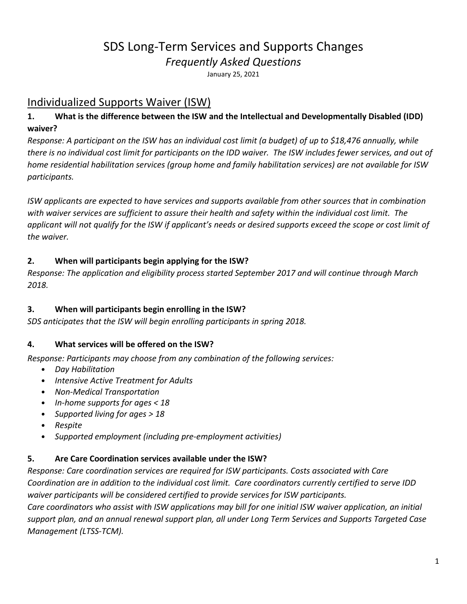# SDS Long-Term Services and Supports Changes *Frequently Asked Questions*

January 25, 2021

# Individualized Supports Waiver (ISW)

### **1. What is the difference between the ISW and the Intellectual and Developmentally Disabled (IDD) waiver?**

*Response: A participant on the ISW has an individual cost limit (a budget) of up to \$18,476 annually, while there is no individual cost limit for participants on the IDD waiver. The ISW includes fewer services, and out of home residential habilitation services (group home and family habilitation services) are not available for ISW participants.*

*ISW applicants are expected to have services and supports available from other sources that in combination with waiver services are sufficient to assure their health and safety within the individual cost limit. The applicant will not qualify for the ISW if applicant's needs or desired supports exceed the scope or cost limit of the waiver.* 

### **2. When will participants begin applying for the ISW?**

*Response: The application and eligibility process started September 2017 and will continue through March 2018.*

### **3. When will participants begin enrolling in the ISW?**

*SDS anticipates that the ISW will begin enrolling participants in spring 2018.*

### **4. What services will be offered on the ISW?**

*Response: Participants may choose from any combination of the following services:*

- *Day Habilitation*
- *Intensive Active Treatment for Adults*
- *Non-Medical Transportation*
- *In-home supports for ages < 18*
- *Supported living for ages > 18*
- *Respite*
- *Supported employment (including pre-employment activities)*

### **5. Are Care Coordination services available under the ISW?**

*Response: Care coordination services are required for ISW participants. Costs associated with Care Coordination are in addition to the individual cost limit. Care coordinators currently certified to serve IDD waiver participants will be considered certified to provide services for ISW participants. Care coordinators who assist with ISW applications may bill for one initial ISW waiver application, an initial support plan, and an annual renewal support plan, all under Long Term Services and Supports Targeted Case Management (LTSS-TCM).*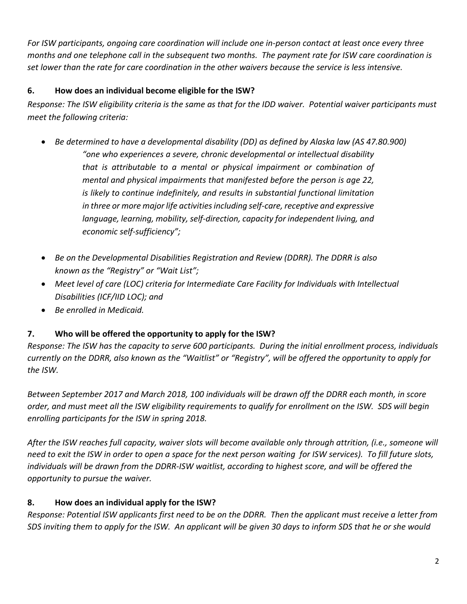*For ISW participants, ongoing care coordination will include one in-person contact at least once every three months and one telephone call in the subsequent two months. The payment rate for ISW care coordination is set lower than the rate for care coordination in the other waivers because the service is less intensive.* 

### **6. How does an individual become eligible for the ISW?**

*Response: The ISW eligibility criteria is the same as that for the IDD waiver. Potential waiver participants must meet the following criteria:*

- *Be determined to have a developmental disability (DD) as defined by Alaska law (AS 47.80.900) "one who experiences a severe, chronic developmental or intellectual disability that is attributable to a mental or physical impairment or combination of mental and physical impairments that manifested before the person is age 22, is likely to continue indefinitely, and results in substantial functional limitation in three or more major life activities including self-care, receptive and expressive language, learning, mobility, self-direction, capacity for independent living, and economic self-sufficiency";*
- *Be on the Developmental Disabilities Registration and Review (DDRR). The DDRR is also known as the "Registry" or "Wait List";*
- *Meet level of care (LOC) criteria for Intermediate Care Facility for Individuals with Intellectual Disabilities (ICF/IID LOC); and*
- *Be enrolled in Medicaid.*

# **7. Who will be offered the opportunity to apply for the ISW?**

*Response: The ISW has the capacity to serve 600 participants. During the initial enrollment process, individuals currently on the DDRR, also known as the "Waitlist" or "Registry", will be offered the opportunity to apply for the ISW.*

*Between September 2017 and March 2018, 100 individuals will be drawn off the DDRR each month, in score order, and must meet all the ISW eligibility requirements to qualify for enrollment on the ISW. SDS will begin enrolling participants for the ISW in spring 2018.* 

*After the ISW reaches full capacity, waiver slots will become available only through attrition, (i.e., someone will need to exit the ISW in order to open a space for the next person waiting for ISW services). To fill future slots, individuals will be drawn from the DDRR-ISW waitlist, according to highest score, and will be offered the opportunity to pursue the waiver.* 

# **8. How does an individual apply for the ISW?**

*Response: Potential ISW applicants first need to be on the DDRR. Then the applicant must receive a letter from SDS inviting them to apply for the ISW. An applicant will be given 30 days to inform SDS that he or she would*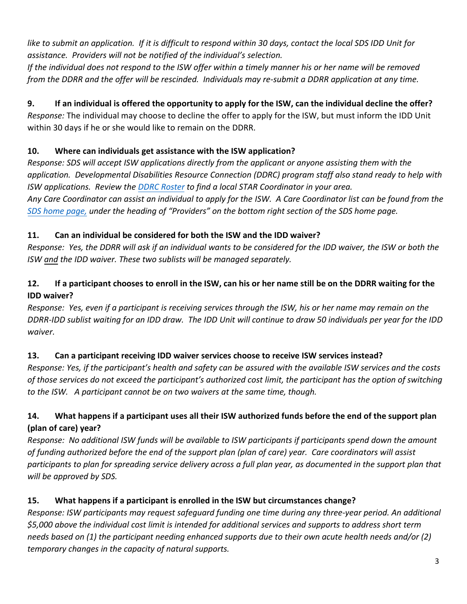*like to submit an application. If it is difficult to respond within 30 days, contact the local SDS IDD Unit for assistance. Providers will not be notified of the individual's selection.* 

*If the individual does not respond to the ISW offer within a timely manner his or her name will be removed from the DDRR and the offer will be rescinded. Individuals may re-submit a DDRR application at any time.* 

# **9. If an individual is offered the opportunity to apply for the ISW, can the individual decline the offer?**

*Response:* The individual may choose to decline the offer to apply for the ISW, but must inform the IDD Unit within 30 days if he or she would like to remain on the DDRR.

# **10. Where can individuals get assistance with the ISW application?**

*Response: SDS will accept ISW applications directly from the applicant or anyone assisting them with the application. Developmental Disabilities Resource Connection (DDRC) program staff also stand ready to help with ISW applications. Review the DDRC [Roster](http://dhss.alaska.gov/dsds/Documents/grantservices/PDFs/DDRC_Roster.pdf) to find a local STAR Coordinator in your area. Any Care Coordinator can assist an individual to apply for the ISW. A Care Coordinator list can be found from the [SDS home page,](http://dhss.alaska.gov/dsds/Pages/default.aspx) under the heading of "Providers" on the bottom right section of the SDS home page.*

# **11. Can an individual be considered for both the ISW and the IDD waiver?**

*Response: Yes, the DDRR will ask if an individual wants to be considered for the IDD waiver, the ISW or both the ISW and the IDD waiver. These two sublists will be managed separately.*

# **12. If a participant chooses to enroll in the ISW, can his or her name still be on the DDRR waiting for the IDD waiver?**

*Response: Yes, even if a participant is receiving services through the ISW, his or her name may remain on the DDRR-IDD sublist waiting for an IDD draw. The IDD Unit will continue to draw 50 individuals per year for the IDD waiver.*

# **13. Can a participant receiving IDD waiver services choose to receive ISW services instead?**

*Response: Yes, if the participant's health and safety can be assured with the available ISW services and the costs of those services do not exceed the participant's authorized cost limit, the participant has the option of switching to the ISW. A participant cannot be on two waivers at the same time, though.*

# **14. What happens if a participant uses all their ISW authorized funds before the end of the support plan (plan of care) year?**

*Response: No additional ISW funds will be available to ISW participants if participants spend down the amount of funding authorized before the end of the support plan (plan of care) year. Care coordinators will assist participants to plan for spreading service delivery across a full plan year, as documented in the support plan that will be approved by SDS.*

# **15. What happens if a participant is enrolled in the ISW but circumstances change?**

*Response: ISW participants may request safeguard funding one time during any three-year period. An additional \$5,000 above the individual cost limit is intended for additional services and supports to address short term needs based on (1) the participant needing enhanced supports due to their own acute health needs and/or (2) temporary changes in the capacity of natural supports.*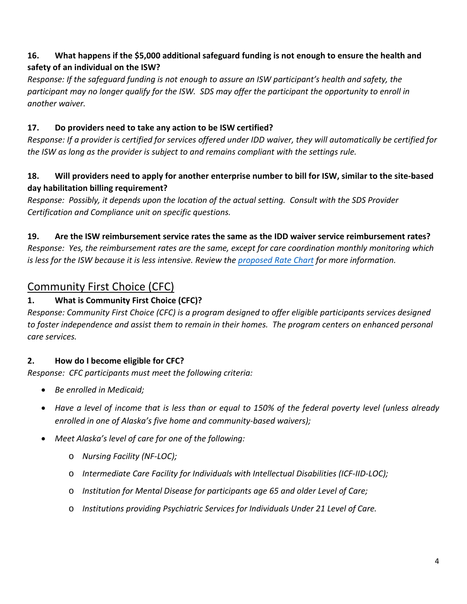### **16. What happens if the \$5,000 additional safeguard funding is not enough to ensure the health and safety of an individual on the ISW?**

*Response: If the safeguard funding is not enough to assure an ISW participant's health and safety, the participant may no longer qualify for the ISW. SDS may offer the participant the opportunity to enroll in another waiver.*

### **17. Do providers need to take any action to be ISW certified?**

*Response: If a provider is certified for services offered under IDD waiver, they will automatically be certified for the ISW as long as the provider is subject to and remains compliant with the settings rule.*

### **18. Will providers need to apply for another enterprise number to bill for ISW, similar to the site-based day habilitation billing requirement?**

*Response: Possibly, it depends upon the location of the actual setting. Consult with the SDS Provider Certification and Compliance unit on specific questions.*

### **19. Are the ISW reimbursement service rates the same as the IDD waiver service reimbursement rates?**

*Response: Yes, the reimbursement rates are the same, except for care coordination monthly monitoring which is less for the ISW because it is less intensive. Review the [proposed Rate Chart](http://dhss.alaska.gov/dsds/Documents/dd/ISW-service-cost-calculatorv2.xls) for more information.*

# Community First Choice (CFC)

# **1. What is Community First Choice (CFC)?**

*Response: Community First Choice (CFC) is a program designed to offer eligible participants services designed to foster independence and assist them to remain in their homes. The program centers on enhanced personal care services.*

# **2. How do I become eligible for CFC?**

*Response: CFC participants must meet the following criteria:*

- *Be enrolled in Medicaid;*
- *Have a level of income that is less than or equal to 150% of the federal poverty level (unless already enrolled in one of Alaska's five home and community-based waivers);*
- *Meet Alaska's level of care for one of the following:*
	- o *Nursing Facility (NF-LOC);*
	- o *Intermediate Care Facility for Individuals with Intellectual Disabilities (ICF-IID-LOC);*
	- o *Institution for Mental Disease for participants age 65 and older Level of Care;*
	- o *Institutions providing Psychiatric Services for Individuals Under 21 Level of Care.*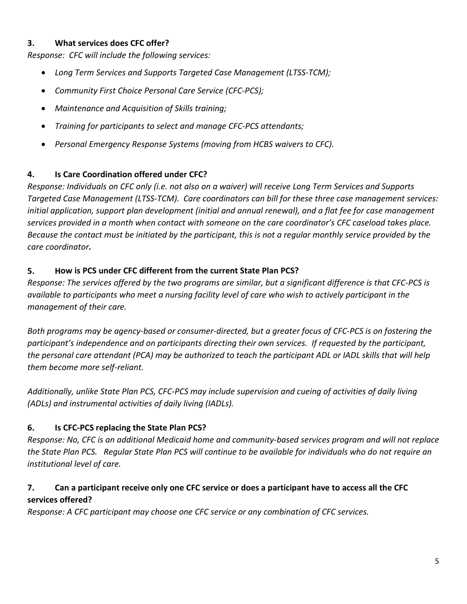#### **3. What services does CFC offer?**

*Response: CFC will include the following services:*

- *Long Term Services and Supports Targeted Case Management (LTSS-TCM);*
- *Community First Choice Personal Care Service (CFC-PCS);*
- *Maintenance and Acquisition of Skills training;*
- *Training for participants to select and manage CFC-PCS attendants;*
- *Personal Emergency Response Systems (moving from HCBS waivers to CFC).*

#### **4. Is Care Coordination offered under CFC?**

*Response: Individuals on CFC only (i.e. not also on a waiver) will receive Long Term Services and Supports Targeted Case Management (LTSS-TCM). Care coordinators can bill for these three case management services: initial application, support plan development (initial and annual renewal), and a flat fee for case management services provided in a month when contact with someone on the care coordinator's CFC caseload takes place. Because the contact must be initiated by the participant, this is not a regular monthly service provided by the care coordinator.*

#### **5. How is PCS under CFC different from the current State Plan PCS?**

*Response: The services offered by the two programs are similar, but a significant difference is that CFC-PCS is available to participants who meet a nursing facility level of care who wish to actively participant in the management of their care.*

*Both programs may be agency-based or consumer-directed, but a greater focus of CFC-PCS is on fostering the participant's independence and on participants directing their own services. If requested by the participant, the personal care attendant (PCA) may be authorized to teach the participant ADL or IADL skills that will help them become more self-reliant.* 

*Additionally, unlike State Plan PCS, CFC-PCS may include supervision and cueing of activities of daily living (ADLs) and instrumental activities of daily living (IADLs).* 

### **6. Is CFC-PCS replacing the State Plan PCS?**

*Response: No, CFC is an additional Medicaid home and community-based services program and will not replace the State Plan PCS. Regular State Plan PCS will continue to be available for individuals who do not require an institutional level of care.*

### **7. Can a participant receive only one CFC service or does a participant have to access all the CFC services offered?**

*Response: A CFC participant may choose one CFC service or any combination of CFC services.*